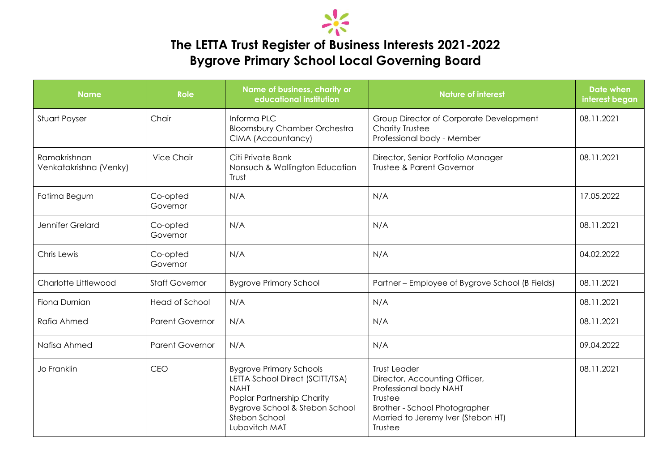

## **The LETTA Trust Register of Business Interests 2021-2022 Bygrove Primary School Local Governing Board**

| <b>Name</b>                            | <b>Role</b>            | Name of business, charity or<br>educational institution                                                                                                                            | <b>Nature of interest</b>                                                                                                                                                   | <b>Date when</b><br>interest began |
|----------------------------------------|------------------------|------------------------------------------------------------------------------------------------------------------------------------------------------------------------------------|-----------------------------------------------------------------------------------------------------------------------------------------------------------------------------|------------------------------------|
| Stuart Poyser                          | Chair                  | Informa PLC<br><b>Bloomsbury Chamber Orchestra</b><br>CIMA (Accountancy)                                                                                                           | Group Director of Corporate Development<br><b>Charity Trustee</b><br>Professional body - Member                                                                             | 08.11.2021                         |
| Ramakrishnan<br>Venkatakrishna (Venky) | <b>Vice Chair</b>      | Citi Private Bank<br>Nonsuch & Wallington Education<br>Trust                                                                                                                       | Director, Senior Portfolio Manager<br><b>Trustee &amp; Parent Governor</b>                                                                                                  |                                    |
| Fatima Begum                           | Co-opted<br>Governor   | N/A                                                                                                                                                                                | N/A                                                                                                                                                                         | 17.05.2022                         |
| Jennifer Grelard                       | Co-opted<br>Governor   | N/A                                                                                                                                                                                | N/A                                                                                                                                                                         | 08.11.2021                         |
| Chris Lewis                            | Co-opted<br>Governor   | N/A                                                                                                                                                                                | N/A                                                                                                                                                                         | 04.02.2022                         |
| Charlotte Littlewood                   | <b>Staff Governor</b>  | <b>Bygrove Primary School</b>                                                                                                                                                      | Partner – Employee of Bygrove School (B Fields)                                                                                                                             | 08.11.2021                         |
| Fiona Durnian                          | <b>Head of School</b>  | N/A                                                                                                                                                                                | N/A                                                                                                                                                                         | 08.11.2021                         |
| Rafia Ahmed                            | <b>Parent Governor</b> | N/A                                                                                                                                                                                | N/A                                                                                                                                                                         | 08.11.2021                         |
| Nafisa Ahmed                           | <b>Parent Governor</b> | N/A                                                                                                                                                                                | N/A                                                                                                                                                                         | 09.04.2022                         |
| Jo Franklin                            | <b>CEO</b>             | <b>Bygrove Primary Schools</b><br>LETTA School Direct (SCITT/TSA)<br><b>NAHT</b><br>Poplar Partnership Charity<br>Bygrove School & Stebon School<br>Stebon School<br>Lubavitch MAT | <b>Trust Leader</b><br>Director, Accounting Officer,<br>Professional body NAHT<br>Trustee<br>Brother - School Photographer<br>Married to Jeremy Iver (Stebon HT)<br>Trustee | 08.11.2021                         |